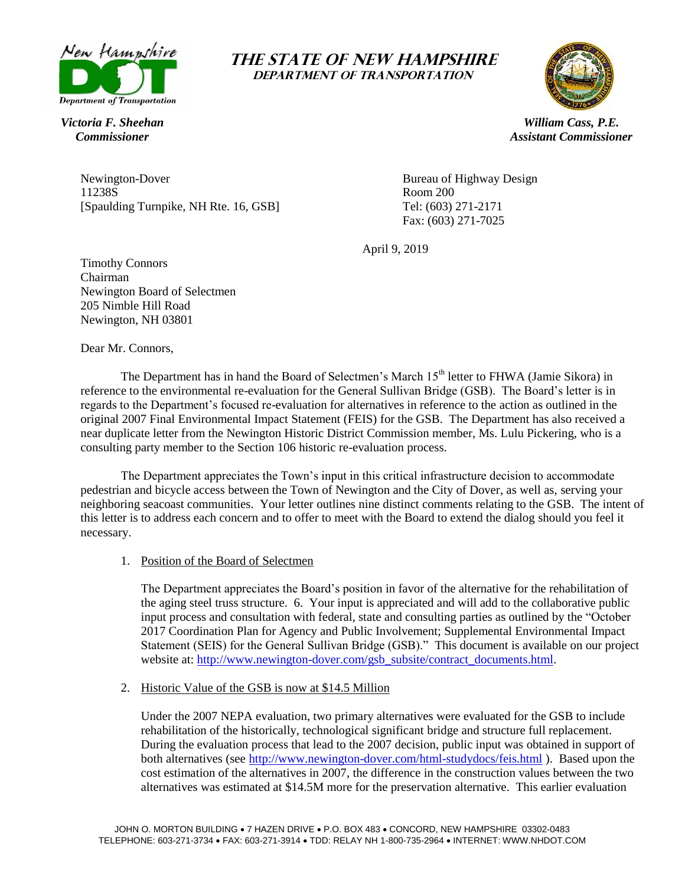

# *Victoria F. Sheehan*

# *Commissioner*





*William Cass, P.E. Assistant Commissioner*

Newington-Dover Bureau of Highway Design 11238S<br>
Spaulding Turnpike, NH Rte. 16, GSB and Separate Spaulding Turnpike, NH Rte. 16, GSB and Separate Spanish Comm<br>
Tel: (603) 271-2171 [Spaulding Turnpike, NH Rte. 16, GSB]

Fax: (603) 271-7025

April 9, 2019

Timothy Connors Chairman Newington Board of Selectmen 205 Nimble Hill Road Newington, NH 03801

Dear Mr. Connors,

The Department has in hand the Board of Selectmen's March 15<sup>th</sup> letter to FHWA (Jamie Sikora) in reference to the environmental re-evaluation for the General Sullivan Bridge (GSB). The Board's letter is in regards to the Department's focused re-evaluation for alternatives in reference to the action as outlined in the original 2007 Final Environmental Impact Statement (FEIS) for the GSB. The Department has also received a near duplicate letter from the Newington Historic District Commission member, Ms. Lulu Pickering, who is a consulting party member to the Section 106 historic re-evaluation process.

The Department appreciates the Town's input in this critical infrastructure decision to accommodate pedestrian and bicycle access between the Town of Newington and the City of Dover, as well as, serving your neighboring seacoast communities. Your letter outlines nine distinct comments relating to the GSB. The intent of this letter is to address each concern and to offer to meet with the Board to extend the dialog should you feel it necessary.

1. Position of the Board of Selectmen

The Department appreciates the Board's position in favor of the alternative for the rehabilitation of the aging steel truss structure. 6. Your input is appreciated and will add to the collaborative public input process and consultation with federal, state and consulting parties as outlined by the "October 2017 Coordination Plan for Agency and Public Involvement; Supplemental Environmental Impact Statement (SEIS) for the General Sullivan Bridge (GSB)." This document is available on our project website at: [http://www.newington-dover.com/gsb\\_subsite/contract\\_documents.html.](http://www.newington-dover.com/gsb_subsite/contract_documents.html)

2. Historic Value of the GSB is now at \$14.5 Million

Under the 2007 NEPA evaluation, two primary alternatives were evaluated for the GSB to include rehabilitation of the historically, technological significant bridge and structure full replacement. During the evaluation process that lead to the 2007 decision, public input was obtained in support of both alternatives (see <http://www.newington-dover.com/html-studydocs/feis.html> ). Based upon the cost estimation of the alternatives in 2007, the difference in the construction values between the two alternatives was estimated at \$14.5M more for the preservation alternative. This earlier evaluation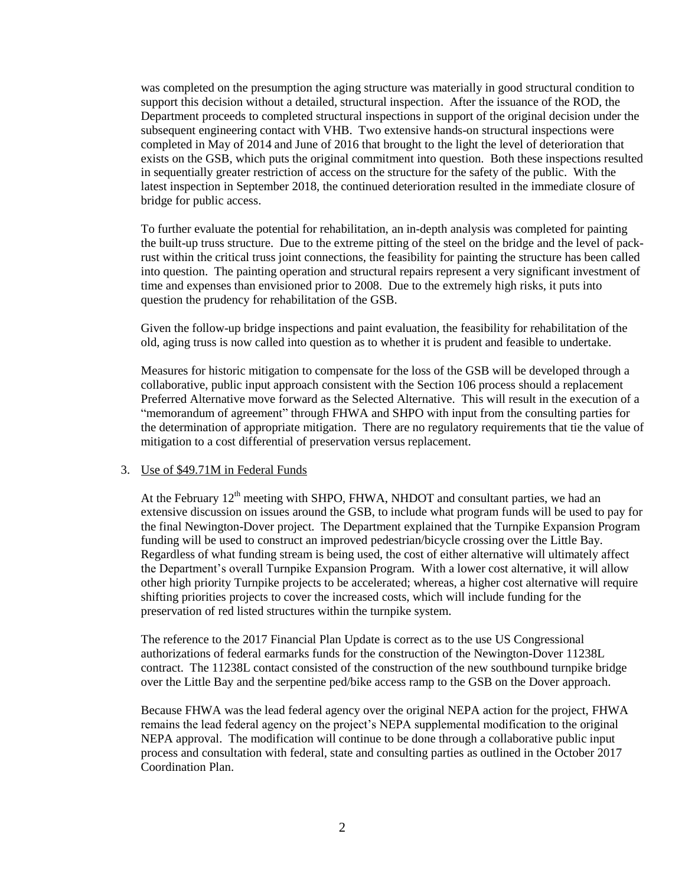was completed on the presumption the aging structure was materially in good structural condition to support this decision without a detailed, structural inspection. After the issuance of the ROD, the Department proceeds to completed structural inspections in support of the original decision under the subsequent engineering contact with VHB. Two extensive hands-on structural inspections were completed in May of 2014 and June of 2016 that brought to the light the level of deterioration that exists on the GSB, which puts the original commitment into question. Both these inspections resulted in sequentially greater restriction of access on the structure for the safety of the public. With the latest inspection in September 2018, the continued deterioration resulted in the immediate closure of bridge for public access.

To further evaluate the potential for rehabilitation, an in-depth analysis was completed for painting the built-up truss structure. Due to the extreme pitting of the steel on the bridge and the level of packrust within the critical truss joint connections, the feasibility for painting the structure has been called into question. The painting operation and structural repairs represent a very significant investment of time and expenses than envisioned prior to 2008. Due to the extremely high risks, it puts into question the prudency for rehabilitation of the GSB.

Given the follow-up bridge inspections and paint evaluation, the feasibility for rehabilitation of the old, aging truss is now called into question as to whether it is prudent and feasible to undertake.

Measures for historic mitigation to compensate for the loss of the GSB will be developed through a collaborative, public input approach consistent with the Section 106 process should a replacement Preferred Alternative move forward as the Selected Alternative. This will result in the execution of a "memorandum of agreement" through FHWA and SHPO with input from the consulting parties for the determination of appropriate mitigation. There are no regulatory requirements that tie the value of mitigation to a cost differential of preservation versus replacement.

#### 3. Use of \$49.71M in Federal Funds

At the February  $12<sup>th</sup>$  meeting with SHPO, FHWA, NHDOT and consultant parties, we had an extensive discussion on issues around the GSB, to include what program funds will be used to pay for the final Newington-Dover project. The Department explained that the Turnpike Expansion Program funding will be used to construct an improved pedestrian/bicycle crossing over the Little Bay. Regardless of what funding stream is being used, the cost of either alternative will ultimately affect the Department's overall Turnpike Expansion Program. With a lower cost alternative, it will allow other high priority Turnpike projects to be accelerated; whereas, a higher cost alternative will require shifting priorities projects to cover the increased costs, which will include funding for the preservation of red listed structures within the turnpike system.

The reference to the 2017 Financial Plan Update is correct as to the use US Congressional authorizations of federal earmarks funds for the construction of the Newington-Dover 11238L contract. The 11238L contact consisted of the construction of the new southbound turnpike bridge over the Little Bay and the serpentine ped/bike access ramp to the GSB on the Dover approach.

Because FHWA was the lead federal agency over the original NEPA action for the project, FHWA remains the lead federal agency on the project's NEPA supplemental modification to the original NEPA approval. The modification will continue to be done through a collaborative public input process and consultation with federal, state and consulting parties as outlined in the October 2017 Coordination Plan.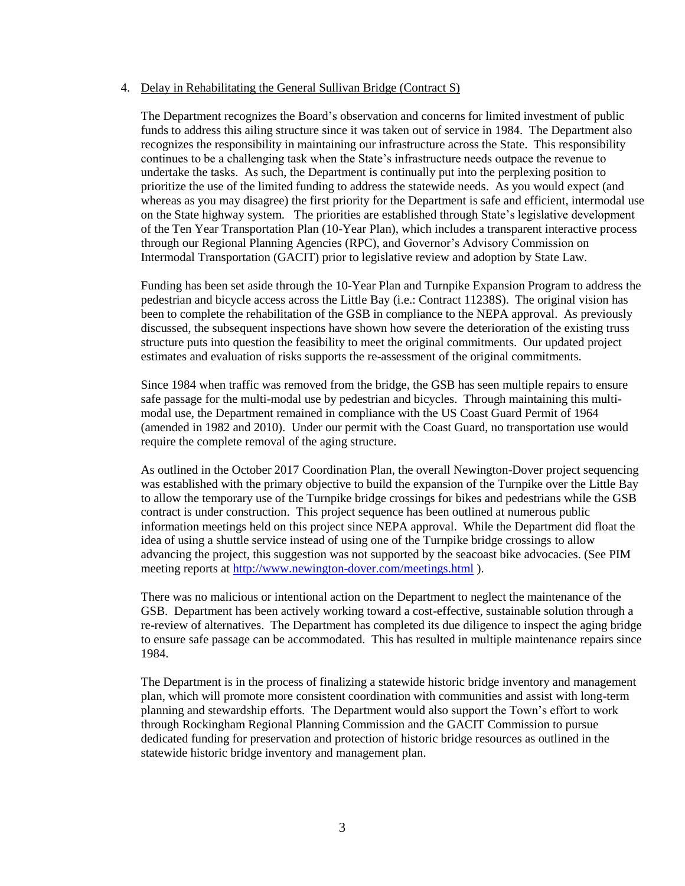#### 4. Delay in Rehabilitating the General Sullivan Bridge (Contract S)

The Department recognizes the Board's observation and concerns for limited investment of public funds to address this ailing structure since it was taken out of service in 1984. The Department also recognizes the responsibility in maintaining our infrastructure across the State. This responsibility continues to be a challenging task when the State's infrastructure needs outpace the revenue to undertake the tasks. As such, the Department is continually put into the perplexing position to prioritize the use of the limited funding to address the statewide needs. As you would expect (and whereas as you may disagree) the first priority for the Department is safe and efficient, intermodal use on the State highway system. The priorities are established through State's legislative development of the Ten Year Transportation Plan (10-Year Plan), which includes a transparent interactive process through our Regional Planning Agencies (RPC), and Governor's Advisory Commission on Intermodal Transportation (GACIT) prior to legislative review and adoption by State Law.

Funding has been set aside through the 10-Year Plan and Turnpike Expansion Program to address the pedestrian and bicycle access across the Little Bay (i.e.: Contract 11238S). The original vision has been to complete the rehabilitation of the GSB in compliance to the NEPA approval. As previously discussed, the subsequent inspections have shown how severe the deterioration of the existing truss structure puts into question the feasibility to meet the original commitments. Our updated project estimates and evaluation of risks supports the re-assessment of the original commitments.

Since 1984 when traffic was removed from the bridge, the GSB has seen multiple repairs to ensure safe passage for the multi-modal use by pedestrian and bicycles. Through maintaining this multimodal use, the Department remained in compliance with the US Coast Guard Permit of 1964 (amended in 1982 and 2010). Under our permit with the Coast Guard, no transportation use would require the complete removal of the aging structure.

As outlined in the October 2017 Coordination Plan, the overall Newington-Dover project sequencing was established with the primary objective to build the expansion of the Turnpike over the Little Bay to allow the temporary use of the Turnpike bridge crossings for bikes and pedestrians while the GSB contract is under construction. This project sequence has been outlined at numerous public information meetings held on this project since NEPA approval. While the Department did float the idea of using a shuttle service instead of using one of the Turnpike bridge crossings to allow advancing the project, this suggestion was not supported by the seacoast bike advocacies. (See PIM meeting reports at<http://www.newington-dover.com/meetings.html> ).

There was no malicious or intentional action on the Department to neglect the maintenance of the GSB. Department has been actively working toward a cost-effective, sustainable solution through a re-review of alternatives. The Department has completed its due diligence to inspect the aging bridge to ensure safe passage can be accommodated. This has resulted in multiple maintenance repairs since 1984.

The Department is in the process of finalizing a statewide historic bridge inventory and management plan, which will promote more consistent coordination with communities and assist with long-term planning and stewardship efforts. The Department would also support the Town's effort to work through Rockingham Regional Planning Commission and the GACIT Commission to pursue dedicated funding for preservation and protection of historic bridge resources as outlined in the statewide historic bridge inventory and management plan.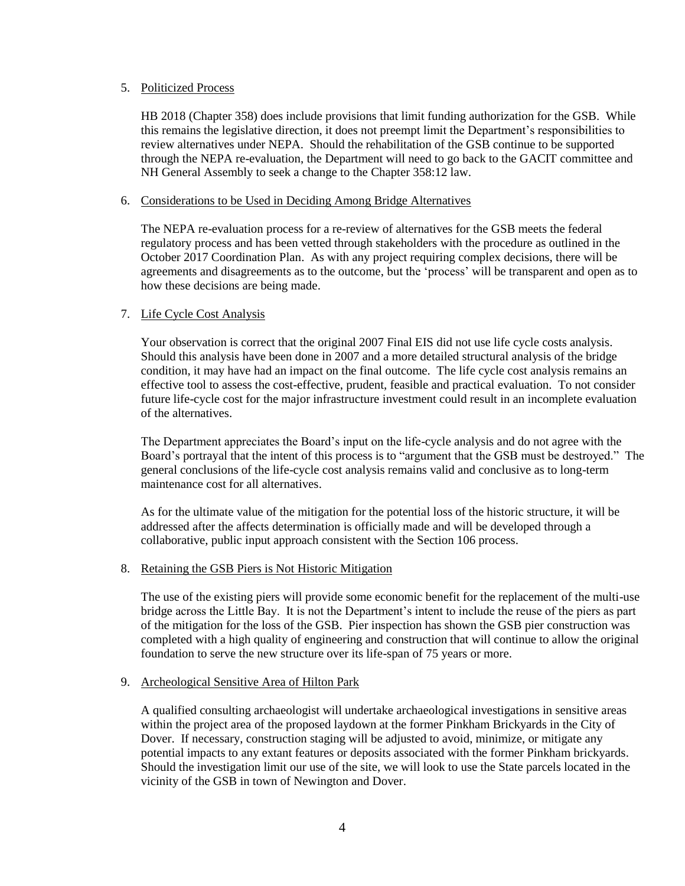#### 5. Politicized Process

HB 2018 (Chapter 358) does include provisions that limit funding authorization for the GSB. While this remains the legislative direction, it does not preempt limit the Department's responsibilities to review alternatives under NEPA. Should the rehabilitation of the GSB continue to be supported through the NEPA re-evaluation, the Department will need to go back to the GACIT committee and NH General Assembly to seek a change to the Chapter 358:12 law.

#### 6. Considerations to be Used in Deciding Among Bridge Alternatives

The NEPA re-evaluation process for a re-review of alternatives for the GSB meets the federal regulatory process and has been vetted through stakeholders with the procedure as outlined in the October 2017 Coordination Plan. As with any project requiring complex decisions, there will be agreements and disagreements as to the outcome, but the 'process' will be transparent and open as to how these decisions are being made.

## 7. Life Cycle Cost Analysis

Your observation is correct that the original 2007 Final EIS did not use life cycle costs analysis. Should this analysis have been done in 2007 and a more detailed structural analysis of the bridge condition, it may have had an impact on the final outcome. The life cycle cost analysis remains an effective tool to assess the cost-effective, prudent, feasible and practical evaluation. To not consider future life-cycle cost for the major infrastructure investment could result in an incomplete evaluation of the alternatives.

The Department appreciates the Board's input on the life-cycle analysis and do not agree with the Board's portrayal that the intent of this process is to "argument that the GSB must be destroyed." The general conclusions of the life-cycle cost analysis remains valid and conclusive as to long-term maintenance cost for all alternatives.

As for the ultimate value of the mitigation for the potential loss of the historic structure, it will be addressed after the affects determination is officially made and will be developed through a collaborative, public input approach consistent with the Section 106 process.

## 8. Retaining the GSB Piers is Not Historic Mitigation

The use of the existing piers will provide some economic benefit for the replacement of the multi-use bridge across the Little Bay. It is not the Department's intent to include the reuse of the piers as part of the mitigation for the loss of the GSB. Pier inspection has shown the GSB pier construction was completed with a high quality of engineering and construction that will continue to allow the original foundation to serve the new structure over its life-span of 75 years or more.

## 9. Archeological Sensitive Area of Hilton Park

A qualified consulting archaeologist will undertake archaeological investigations in sensitive areas within the project area of the proposed laydown at the former Pinkham Brickyards in the City of Dover. If necessary, construction staging will be adjusted to avoid, minimize, or mitigate any potential impacts to any extant features or deposits associated with the former Pinkham brickyards. Should the investigation limit our use of the site, we will look to use the State parcels located in the vicinity of the GSB in town of Newington and Dover.